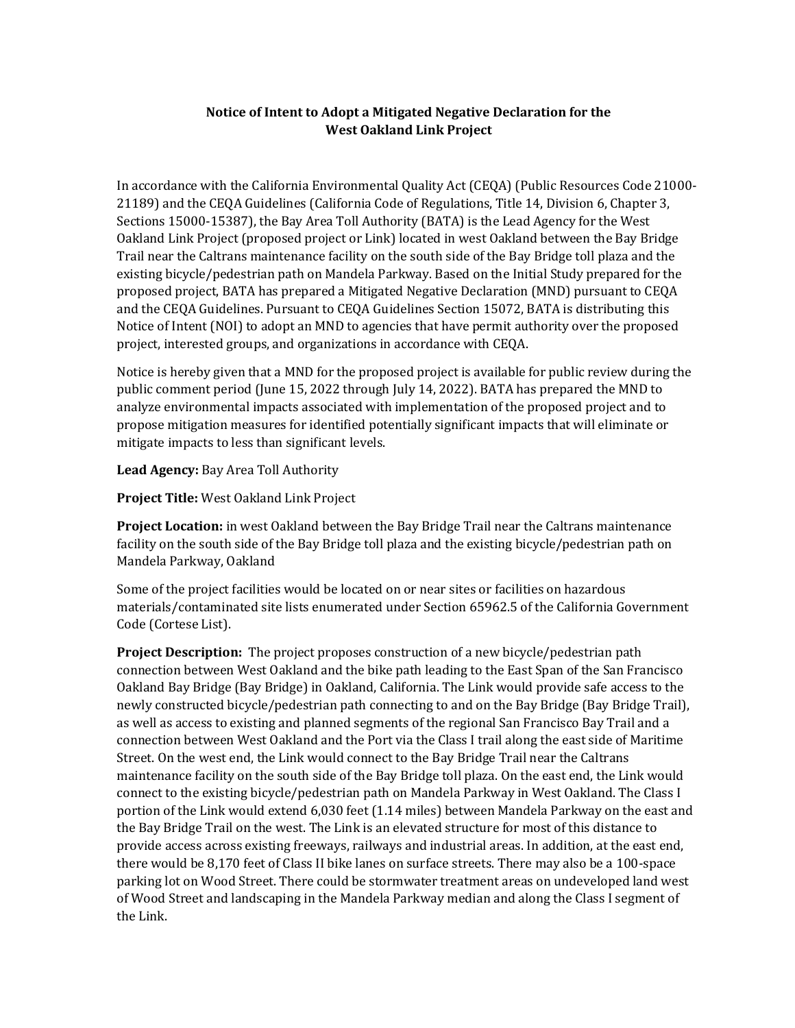## Notice of Intent to Adopt a Mitigated Negative Declaration for the West Oakland Link Project

In accordance with the California Environmental Quality Act (CEQA) (Public Resources Code 21000- 21189) and the CEQA Guidelines (California Code of Regulations, Title 14, Division 6, Chapter 3, Sections 15000-15387), the Bay Area Toll Authority (BATA) is the Lead Agency for the West Oakland Link Project (proposed project or Link) located in west Oakland between the Bay Bridge Trail near the Caltrans maintenance facility on the south side of the Bay Bridge toll plaza and the existing bicycle/pedestrian path on Mandela Parkway. Based on the Initial Study prepared for the proposed project, BATA has prepared a Mitigated Negative Declaration (MND) pursuant to CEQA and the CEQA Guidelines. Pursuant to CEQA Guidelines Section 15072, BATA is distributing this Notice of Intent (NOI) to adopt an MND to agencies that have permit authority over the proposed project, interested groups, and organizations in accordance with CEQA.

Notice is hereby given that a MND for the proposed project is available for public review during the public comment period (June 15, 2022 through July 14, 2022). BATA has prepared the MND to analyze environmental impacts associated with implementation of the proposed project and to propose mitigation measures for identified potentially significant impacts that will eliminate or mitigate impacts to less than significant levels.

Lead Agency: Bay Area Toll Authority

Project Title: West Oakland Link Project

**Project Location:** in west Oakland between the Bay Bridge Trail near the Caltrans maintenance facility on the south side of the Bay Bridge toll plaza and the existing bicycle/pedestrian path on Mandela Parkway, Oakland

Some of the project facilities would be located on or near sites or facilities on hazardous materials/contaminated site lists enumerated under Section 65962.5 of the California Government Code (Cortese List).

**Project Description:** The project proposes construction of a new bicycle/pedestrian path connection between West Oakland and the bike path leading to the East Span of the San Francisco Oakland Bay Bridge (Bay Bridge) in Oakland, California. The Link would provide safe access to the newly constructed bicycle/pedestrian path connecting to and on the Bay Bridge (Bay Bridge Trail), as well as access to existing and planned segments of the regional San Francisco Bay Trail and a connection between West Oakland and the Port via the Class I trail along the east side of Maritime Street. On the west end, the Link would connect to the Bay Bridge Trail near the Caltrans maintenance facility on the south side of the Bay Bridge toll plaza. On the east end, the Link would connect to the existing bicycle/pedestrian path on Mandela Parkway in West Oakland. The Class I portion of the Link would extend 6,030 feet (1.14 miles) between Mandela Parkway on the east and the Bay Bridge Trail on the west. The Link is an elevated structure for most of this distance to provide access across existing freeways, railways and industrial areas. In addition, at the east end, there would be 8,170 feet of Class II bike lanes on surface streets. There may also be a 100-space parking lot on Wood Street. There could be stormwater treatment areas on undeveloped land west of Wood Street and landscaping in the Mandela Parkway median and along the Class I segment of the Link.